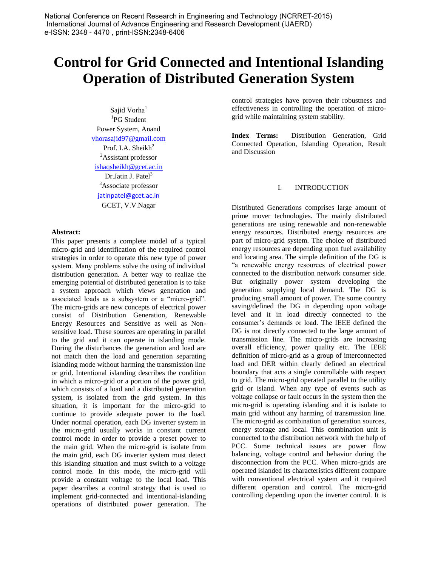# **Control for Grid Connected and Intentional Islanding Operation of Distributed Generation System**

Sajid Vorha<sup>1</sup> 1 PG Student Power System, Anand [vhorasajid97@gmail.com](mailto:vhorasajid97@gmail.com) Prof. I.A. Sheikh<sup>2</sup> <sup>2</sup>Assistant professor [ishaqsheikh@gcet.ac.in](mailto:ishaqsheikh@gcet.ac.in) Dr.Jatin J. Patel<sup>3</sup> <sup>3</sup>Associate professor jatinpatel@gcet.ac.in GCET, V.V.Nagar

### **Abstract:**

This paper presents a complete model of a typical micro-grid and identification of the required control strategies in order to operate this new type of power system. Many problems solve the using of individual distribution generation. A better way to realize the emerging potential of distributed generation is to take a system approach which views generation and associated loads as a subsystem or a "micro-grid". The micro-grids are new concepts of electrical power consist of Distribution Generation, Renewable Energy Resources and Sensitive as well as Nonsensitive load. These sources are operating in parallel to the grid and it can operate in islanding mode. During the disturbances the generation and load are not match then the load and generation separating islanding mode without harming the transmission line or grid. Intentional islanding describes the condition in which a micro-grid or a portion of the power grid, which consists of a load and a distributed generation system, is isolated from the grid system. In this situation, it is important for the micro-grid to continue to provide adequate power to the load. Under normal operation, each DG inverter system in the micro-grid usually works in constant current control mode in order to provide a preset power to the main grid. When the micro-grid is isolate from the main grid, each DG inverter system must detect this islanding situation and must switch to a voltage control mode. In this mode, the micro-grid will provide a constant voltage to the local load. This paper describes a control strategy that is used to implement grid-connected and intentional-islanding operations of distributed power generation. The control strategies have proven their robustness and effectiveness in controlling the operation of microgrid while maintaining system stability.

**Index Terms:** Distribution Generation, Grid Connected Operation, Islanding Operation, Result and Discussion

## I. INTRODUCTION

Distributed Generations comprises large amount of prime mover technologies. The mainly distributed generations are using renewable and non-renewable energy resources. Distributed energy resources are part of micro-grid system. The choice of distributed energy resources are depending upon fuel availability and locating area. The simple definition of the DG is "a renewable energy resources of electrical power connected to the distribution network consumer side. But originally power system developing the generation supplying local demand. The DG is producing small amount of power. The some country saving/defined the DG in depending upon voltage level and it in load directly connected to the consumer's demands or load. The IEEE defined the DG is not directly connected to the large amount of transmission line. The micro-grids are increasing overall efficiency, power quality etc. The IEEE definition of micro-grid as a group of interconnected load and DER within clearly defined an electrical boundary that acts a single controllable with respect to grid. The micro-grid operated parallel to the utility grid or island. When any type of events such as voltage collapse or fault occurs in the system then the micro-grid is operating islanding and it is isolate to main grid without any harming of transmission line. The micro-grid as combination of generation sources, energy storage and local. This combination unit is connected to the distribution network with the help of PCC. Some technical issues are power flow balancing, voltage control and behavior during the disconnection from the PCC. When micro-grids are operated islanded its characteristics different compare with conventional electrical system and it required different operation and control. The micro-grid controlling depending upon the inverter control. It is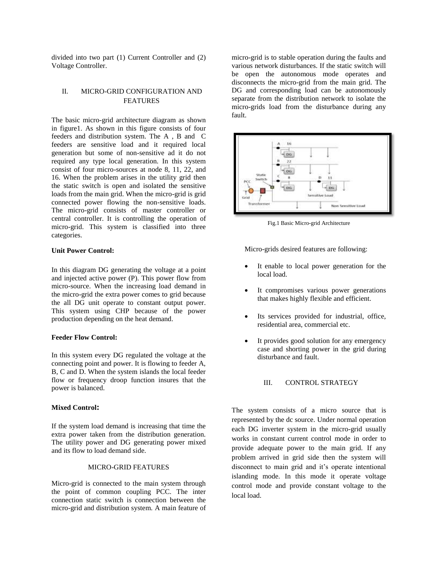divided into two part (1) Current Controller and (2) Voltage Controller.

# II. MICRO-GRID CONFIGURATION AND FEATURES

The basic micro-grid architecture diagram as shown in figure1. As shown in this figure consists of four feeders and distribution system. The A , B and C feeders are sensitive load and it required local generation but some of non-sensitive ad it do not required any type local generation. In this system consist of four micro-sources at node 8, 11, 22, and 16. When the problem arises in the utility grid then the static switch is open and isolated the sensitive loads from the main grid. When the micro-grid is grid connected power flowing the non-sensitive loads. The micro-grid consists of master controller or central controller. It is controlling the operation of micro-grid. This system is classified into three categories.

### **Unit Power Control:**

In this diagram DG generating the voltage at a point and injected active power (P). This power flow from micro-source. When the increasing load demand in the micro-grid the extra power comes to grid because the all DG unit operate to constant output power. This system using CHP because of the power production depending on the heat demand.

#### **Feeder Flow Control:**

In this system every DG regulated the voltage at the connecting point and power. It is flowing to feeder A, B, C and D. When the system islands the local feeder flow or frequency droop function insures that the power is balanced.

#### **Mixed Control:**

If the system load demand is increasing that time the extra power taken from the distribution generation. The utility power and DG generating power mixed and its flow to load demand side.

## MICRO-GRID FEATURES

Micro-grid is connected to the main system through the point of common coupling PCC. The inter connection static switch is connection between the micro-grid and distribution system. A main feature of micro-grid is to stable operation during the faults and various network disturbances. If the static switch will be open the autonomous mode operates and disconnects the micro-grid from the main grid. The DG and corresponding load can be autonomously separate from the distribution network to isolate the micro-grids load from the disturbance during any fault.



Fig.1 Basic Micro-grid Architecture

Micro-grids desired features are following:

- It enable to local power generation for the local load.
- It compromises various power generations that makes highly flexible and efficient.
- Its services provided for industrial, office, residential area, commercial etc.
- It provides good solution for any emergency case and shorting power in the grid during disturbance and fault.

## III. CONTROL STRATEGY

The system consists of a micro source that is represented by the dc source. Under normal operation each DG inverter system in the micro-grid usually works in constant current control mode in order to provide adequate power to the main grid. If any problem arrived in grid side then the system will disconnect to main grid and it's operate intentional islanding mode. In this mode it operate voltage control mode and provide constant voltage to the local load.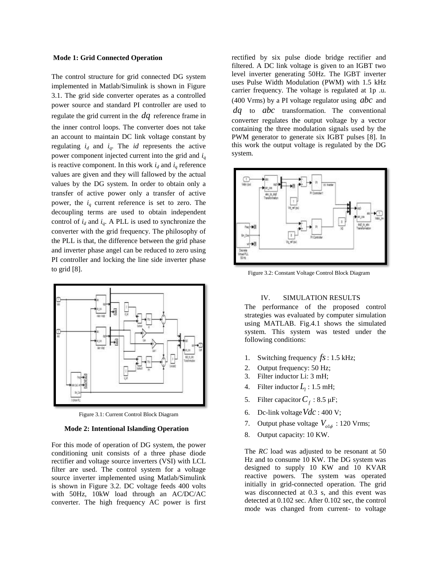### **Mode 1: Grid Connected Operation**

The control structure for grid connected DG system implemented in Matlab/Simulink is shown in Figure 3.1. The grid side converter operates as a controlled power source and standard PI controller are used to regulate the grid current in the *dq* reference frame in the inner control loops. The converter does not take an account to maintain DC link voltage constant by regulating  $i_d$  and  $i_q$ . The *id* represents the active power component injected current into the grid and *i<sup>q</sup>* is reactive component. In this work  $i_d$  and  $i_q$  reference values are given and they will fallowed by the actual values by the DG system. In order to obtain only a transfer of active power only a transfer of active power, the  $i_q$  current reference is set to zero. The decoupling terms are used to obtain independent control of  $i_d$  and  $i_q$ . A PLL is used to synchronize the converter with the grid frequency. The philosophy of the PLL is that, the difference between the grid phase and inverter phase angel can be reduced to zero using PI controller and locking the line side inverter phase to grid [8].



Figure 3.1: Current Control Block Diagram

## **Mode 2: Intentional Islanding Operation**

For this mode of operation of DG system, the power conditioning unit consists of a three phase diode rectifier and voltage source inverters (VSI) with LCL filter are used. The control system for a voltage source inverter implemented using Matlab/Simulink is shown in Figure 3.2. DC voltage feeds 400 volts with 50Hz, 10kW load through an AC/DC/AC converter. The high frequency AC power is first

rectified by six pulse diode bridge rectifier and filtered. A DC link voltage is given to an IGBT two level inverter generating 50Hz. The IGBT inverter uses Pulse Width Modulation (PWM) with 1.5 kHz carrier frequency. The voltage is regulated at 1p .u. (400 Vrms) by a PI voltage regulator using *abc* and *dq* to *abc* transformation. The conventional converter regulates the output voltage by a vector containing the three modulation signals used by the PWM generator to generate six IGBT pulses [8]. In this work the output voltage is regulated by the DG system.



Figure 3.2: Constant Voltage Control Block Diagram

## IV. SIMULATION RESULTS

The performance of the proposed control strategies was evaluated by computer simulation using MATLAB. Fig.4.1 shows the simulated system. This system was tested under the following conditions:

- 1. Switching frequency *fs* : 1.5 kHz;
- 2. Output frequency: 50 Hz;
- 3. Filter inductor Li: 3 mH;
- 4. Filter inductor  $L_1$ : 1.5 mH;
- 5. Filter capacitor  $C_f$ : 8.5  $\mu$ F;
- 6. Dc-link voltage *Vdc* : 400 V;
- 7. Output phase voltage  $V_{ol\phi}$  : 120 Vrms;
- 8. Output capacity: 10 KW.

The *RC* load was adjusted to be resonant at 50 Hz and to consume 10 KW. The DG system was designed to supply 10 KW and 10 KVAR reactive powers. The system was operated initially in grid-connected operation. The grid was disconnected at 0.3 s, and this event was detected at 0.102 sec. After 0.102 sec, the control mode was changed from current- to voltage